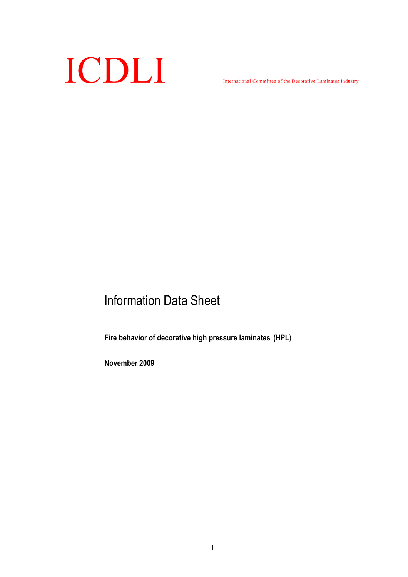

International Committee of the Decorative Laminates Industry

# Information Data Sheet

Fire behavior of decorative high pressure laminates (HPL)

November 2009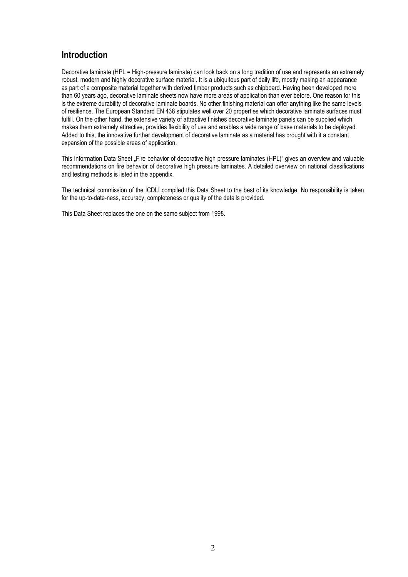## **Introduction**

Decorative laminate (HPL = High-pressure laminate) can look back on a long tradition of use and represents an extremely robust, modern and highly decorative surface material. It is a ubiquitous part of daily life, mostly making an appearance as part of a composite material together with derived timber products such as chipboard. Having been developed more than 60 years ago, decorative laminate sheets now have more areas of application than ever before. One reason for this is the extreme durability of decorative laminate boards. No other finishing material can offer anything like the same levels of resilience. The European Standard EN 438 stipulates well over 20 properties which decorative laminate surfaces must fulfill. On the other hand, the extensive variety of attractive finishes decorative laminate panels can be supplied which makes them extremely attractive, provides flexibility of use and enables a wide range of base materials to be deployed. Added to this, the innovative further development of decorative laminate as a material has brought with it a constant expansion of the possible areas of application.

This Information Data Sheet "Fire behavior of decorative high pressure laminates (HPL)" gives an overview and valuable recommendations on fire behavior of decorative high pressure laminates. A detailed overview on national classifications and testing methods is listed in the appendix.

The technical commission of the ICDLI compiled this Data Sheet to the best of its knowledge. No responsibility is taken for the up-to-date-ness, accuracy, completeness or quality of the details provided.

This Data Sheet replaces the one on the same subject from 1998.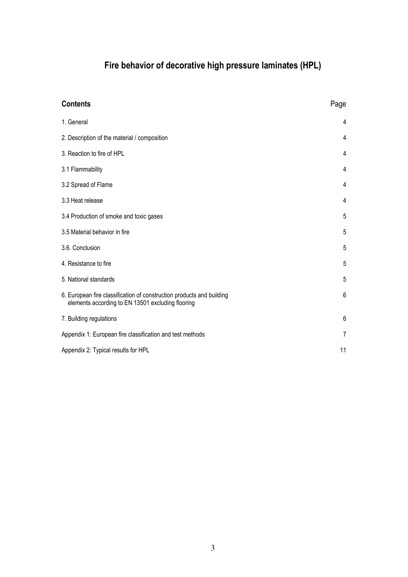# Fire behavior of decorative high pressure laminates (HPL)

| <b>Contents</b>                                                                                                            | Page |
|----------------------------------------------------------------------------------------------------------------------------|------|
| 1. General                                                                                                                 | 4    |
| 2. Description of the material / composition                                                                               | 4    |
| 3. Reaction to fire of HPL                                                                                                 | 4    |
| 3.1 Flammability                                                                                                           | 4    |
| 3.2 Spread of Flame                                                                                                        | 4    |
| 3.3 Heat release                                                                                                           | 4    |
| 3.4 Production of smoke and toxic gases                                                                                    | 5    |
| 3.5 Material behavior in fire                                                                                              | 5    |
| 3.6. Conclusion                                                                                                            | 5    |
| 4. Resistance to fire                                                                                                      | 5    |
| 5. National standards                                                                                                      | 5    |
| 6. European fire classification of construction products and building<br>elements according to EN 13501 excluding flooring | 6    |
| 7. Building regulations                                                                                                    | 6    |
| Appendix 1: European fire classification and test methods                                                                  | 7    |
| Appendix 2: Typical results for HPL                                                                                        | 11   |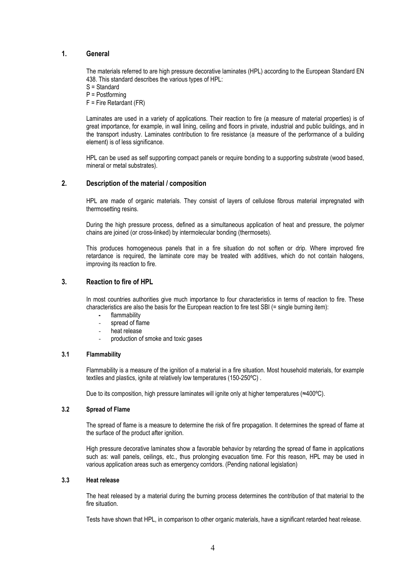#### 1. General

The materials referred to are high pressure decorative laminates (HPL) according to the European Standard EN 438. This standard describes the various types of HPL:

S = Standard

P = Postforming

F = Fire Retardant (FR)

Laminates are used in a variety of applications. Their reaction to fire (a measure of material properties) is of great importance, for example, in wall lining, ceiling and floors in private, industrial and public buildings, and in the transport industry. Laminates contribution to fire resistance (a measure of the performance of a building element) is of less significance.

HPL can be used as self supporting compact panels or require bonding to a supporting substrate (wood based, mineral or metal substrates).

#### 2. Description of the material / composition

HPL are made of organic materials. They consist of layers of cellulose fibrous material impregnated with thermosetting resins.

During the high pressure process, defined as a simultaneous application of heat and pressure, the polymer chains are joined (or cross-linked) by intermolecular bonding (thermosets).

This produces homogeneous panels that in a fire situation do not soften or drip. Where improved fire retardance is required, the laminate core may be treated with additives, which do not contain halogens, improving its reaction to fire.

#### 3. Reaction to fire of HPL

In most countries authorities give much importance to four characteristics in terms of reaction to fire. These characteristics are also the basis for the European reaction to fire test SBI (= single burning item):

- flammability
- spread of flame
- heat release
- production of smoke and toxic gases

#### 3.1 Flammability

Flammability is a measure of the ignition of a material in a fire situation. Most household materials, for example textiles and plastics, ignite at relatively low temperatures (150-250ºC) .

Due to its composition, high pressure laminates will ignite only at higher temperatures (≈400°C).

#### 3.2 Spread of Flame

The spread of flame is a measure to determine the risk of fire propagation. It determines the spread of flame at the surface of the product after ignition.

High pressure decorative laminates show a favorable behavior by retarding the spread of flame in applications such as: wall panels, ceilings, etc., thus prolonging evacuation time. For this reason, HPL may be used in various application areas such as emergency corridors. (Pending national legislation)

#### 3.3 Heat release

The heat released by a material during the burning process determines the contribution of that material to the fire situation.

Tests have shown that HPL, in comparison to other organic materials, have a significant retarded heat release.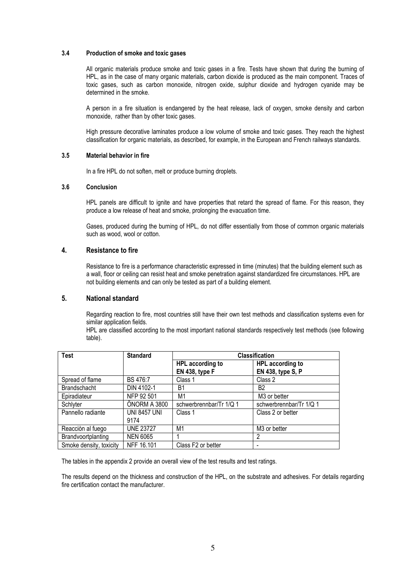#### 3.4 Production of smoke and toxic gases

All organic materials produce smoke and toxic gases in a fire. Tests have shown that during the burning of HPL, as in the case of many organic materials, carbon dioxide is produced as the main component. Traces of toxic gases, such as carbon monoxide, nitrogen oxide, sulphur dioxide and hydrogen cyanide may be determined in the smoke.

A person in a fire situation is endangered by the heat release, lack of oxygen, smoke density and carbon monoxide, rather than by other toxic gases.

High pressure decorative laminates produce a low volume of smoke and toxic gases. They reach the highest classification for organic materials, as described, for example, in the European and French railways standards.

#### 3.5 Material behavior in fire

In a fire HPL do not soften, melt or produce burning droplets.

#### 3.6 Conclusion

HPL panels are difficult to ignite and have properties that retard the spread of flame. For this reason, they produce a low release of heat and smoke, prolonging the evacuation time.

Gases, produced during the burning of HPL, do not differ essentially from those of common organic materials such as wood, wool or cotton.

#### 4. Resistance to fire

Resistance to fire is a performance characteristic expressed in time (minutes) that the building element such as a wall, floor or ceiling can resist heat and smoke penetration against standardized fire circumstances. HPL are not building elements and can only be tested as part of a building element.

#### 5. National standard

Regarding reaction to fire, most countries still have their own test methods and classification systems even for similar application fields.

HPL are classified according to the most important national standards respectively test methods (see following table).

| <b>Test</b>             | <b>Standard</b>     | <b>Classification</b>   |                          |  |  |
|-------------------------|---------------------|-------------------------|--------------------------|--|--|
|                         |                     | HPL according to        | HPL according to         |  |  |
|                         |                     | <b>EN 438, type F</b>   | EN 438, type S, P        |  |  |
| Spread of flame         | BS 476:7            | Class 1                 | Class 2                  |  |  |
| <b>Brandschacht</b>     | DIN 4102-1          | B1                      | B <sub>2</sub>           |  |  |
| Epiradiateur            | NFP 92 501          | M <sub>1</sub>          | M <sub>3</sub> or better |  |  |
| Schlyter                | ÖNORM A 3800        | schwerbrennbar/Tr 1/Q 1 | schwerbrennbar/Tr 1/Q 1  |  |  |
| Pannello radiante       | <b>UNI 8457 UNI</b> | Class 1                 | Class 2 or better        |  |  |
|                         | 9174                |                         |                          |  |  |
| Reacción al fuego       | <b>UNE 23727</b>    | M <sub>1</sub>          | M <sub>3</sub> or better |  |  |
| Brandvoortplanting      | <b>NEN 6065</b>     |                         | 2                        |  |  |
| Smoke density, toxicity | NFF 16.101          | Class F2 or better      |                          |  |  |

The tables in the appendix 2 provide an overall view of the test results and test ratings.

The results depend on the thickness and construction of the HPL, on the substrate and adhesives. For details regarding fire certification contact the manufacturer.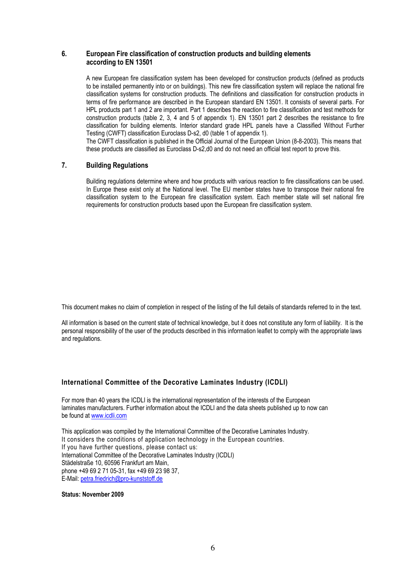#### 6. European Fire classification of construction products and building elements according to EN 13501

A new European fire classification system has been developed for construction products (defined as products to be installed permanently into or on buildings). This new fire classification system will replace the national fire classification systems for construction products. The definitions and classification for construction products in terms of fire performance are described in the European standard EN 13501. It consists of several parts. For HPL products part 1 and 2 are important. Part 1 describes the reaction to fire classification and test methods for construction products (table 2, 3, 4 and 5 of appendix 1). EN 13501 part 2 describes the resistance to fire classification for building elements. Interior standard grade HPL panels have a Classified Without Further Testing (CWFT) classification Euroclass D-s2, d0 (table 1 of appendix 1).

The CWFT classification is published in the Official Journal of the European Union (8-8-2003). This means that these products are classified as Euroclass D-s2,d0 and do not need an official test report to prove this.

#### 7. Building Regulations

Building regulations determine where and how products with various reaction to fire classifications can be used. In Europe these exist only at the National level. The EU member states have to transpose their national fire classification system to the European fire classification system. Each member state will set national fire requirements for construction products based upon the European fire classification system.

This document makes no claim of completion in respect of the listing of the full details of standards referred to in the text.

All information is based on the current state of technical knowledge, but it does not constitute any form of liability. It is the personal responsibility of the user of the products described in this information leaflet to comply with the appropriate laws and regulations.

#### International Committee of the Decorative Laminates Industry (ICDLI)

For more than 40 years the ICDLI is the international representation of the interests of the European laminates manufacturers. Further information about the ICDLI and the data sheets published up to now can be found at www.icdli.com

This application was compiled by the International Committee of the Decorative Laminates Industry. It considers the conditions of application technology in the European countries. If you have further questions, please contact us: International Committee of the Decorative Laminates Industry (ICDLI) Städelstraße 10, 60596 Frankfurt am Main, phone +49 69 2 71 05-31, fax +49 69 23 98 37, E-Mail: petra.friedrich@pro-kunststoff.de

#### Status: November 2009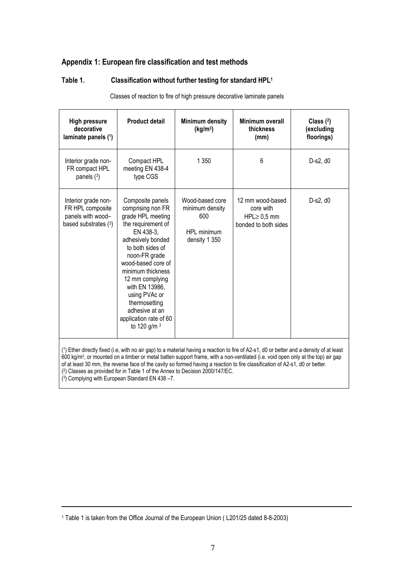## Appendix 1: European fire classification and test methods

## Table 1. Classification without further testing for standard HPL<sup>1</sup>

Classes of reaction to fire of high pressure decorative laminate panels

| <b>High pressure</b><br>decorative<br>laminate panels (1)                              | <b>Product detail</b>                                                                                                                                                                                                                                                                                                                   | Minimum density<br>(kg/m <sup>3</sup> )                                   | Minimum overall<br>thickness<br>(mm)                                       | Class $(2)$<br>(excluding<br>floorings) |
|----------------------------------------------------------------------------------------|-----------------------------------------------------------------------------------------------------------------------------------------------------------------------------------------------------------------------------------------------------------------------------------------------------------------------------------------|---------------------------------------------------------------------------|----------------------------------------------------------------------------|-----------------------------------------|
| Interior grade non-<br>FR compact HPL<br>panels $(3)$                                  | Compact HPL<br>meeting EN 438-4<br>type CGS                                                                                                                                                                                                                                                                                             | 1 3 5 0                                                                   | 6                                                                          | D-s2, d0                                |
| Interior grade non-<br>FR HPL composite<br>panels with wood-<br>based substrates $(3)$ | Composite panels<br>comprising non FR<br>grade HPL meeting<br>the requirement of<br>EN 438-3,<br>adhesively bonded<br>to both sides of<br>noon-FR grade<br>wood-based core of<br>minimum thickness<br>12 mm complying<br>with EN 13986,<br>using PVAc or<br>thermosetting<br>adhesive at an<br>application rate of 60<br>to 120 g/m $3$ | Wood-based core<br>minimum density<br>600<br>HPL minimum<br>density 1 350 | 12 mm wood-based<br>core with<br>$HPL \geq 0.5$ mm<br>bonded to both sides | D-s2, d0                                |

( ) Ether directly fixed (i.e, with no air gap) to a material having a reaction to fire of A2-s1, d0 or better and a density of at least 1 600 kg/m<sup>3</sup> , or mounted on a timber or metal batten support frame, with a non-ventilated (i.e. void open only at the top) air gap of at least 30 mm, the reverse face of the cavity so formed having a reaction to fire classification of A2-s1, d0 or better. ( 2 ) Classes as provided for in Table 1 of the Annex to Decision 2000/147/EC.

( 3 ) Complying with European Standard EN 438 –7.

<sup>1</sup> Table 1 is taken from the Office Journal of the European Union ( L201/25 dated 8-8-2003)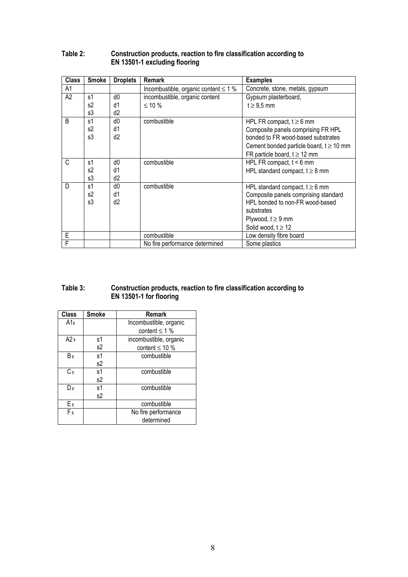| <b>Class</b>   | <b>Smoke</b>   | <b>Droplets</b> | <b>Remark</b>                             | <b>Examples</b>                             |
|----------------|----------------|-----------------|-------------------------------------------|---------------------------------------------|
| A <sub>1</sub> |                |                 | Incombustible, organic content $\leq 1$ % | Concrete, stone, metals, gypsum             |
| A2             | s1             | d0              | incombustible, organic content            | Gypsum plasterboard,                        |
|                | s2             | d1              | $≤ 10 %$                                  | $t \geq 9.5$ mm                             |
|                | s3             | d2              |                                           |                                             |
| B              | s1             | d0              | combustible                               | HPL FR compact, $t \ge 6$ mm                |
|                | s2             | d1              |                                           | Composite panels comprising FR HPL          |
|                | s3             | d2              |                                           | bonded to FR wood-based substrates          |
|                |                |                 |                                           | Cement bonded particle board, $t \ge 10$ mm |
|                |                |                 |                                           | FR particle board, $t \ge 12$ mm            |
| C              | s1             | d0              | combustible                               | HPL FR compact, $t < 6$ mm                  |
|                | s <sub>2</sub> | d1              |                                           | HPL standard compact, $t \geq 8$ mm         |
|                | s3             | d2              |                                           |                                             |
| D              | s <sub>1</sub> | d0              | combustible                               | HPL standard compact, $t \ge 6$ mm          |
|                | s2             | d1              |                                           | Composite panels comprising standard        |
|                | s3             | d <sub>2</sub>  |                                           | HPL bonded to non-FR wood-based             |
|                |                |                 |                                           | substrates                                  |
|                |                |                 |                                           | Plywood, $t \geq 9$ mm                      |
|                |                |                 |                                           | Solid wood, $t \geq 12$                     |
| E              |                |                 | combustible                               | Low density fibre board                     |
| F              |                |                 | No fire performance determined            | Some plastics                               |

### Table 2: Construction products, reaction to fire classification according to EN 13501-1 excluding flooring

### Table 3: Construction products, reaction to fire classification according to EN 13501-1 for flooring

| <b>Class</b> | <b>Smoke</b> | Remark                 |  |
|--------------|--------------|------------------------|--|
| A1f          |              | Incombustible, organic |  |
|              |              | content $\leq 1$ %     |  |
| A2f          | s1           | incombustible, organic |  |
|              | s2           | content $\leq 10$ %    |  |
| Вf           | s1           | combustible            |  |
|              | s2           |                        |  |
| $C_{fl}$     | s1           | combustible            |  |
|              | s2           |                        |  |
| Dя           | s1           | combustible            |  |
|              | s2           |                        |  |
| Eп           |              | combustible            |  |
| F            |              | No fire performance    |  |
|              |              | determined             |  |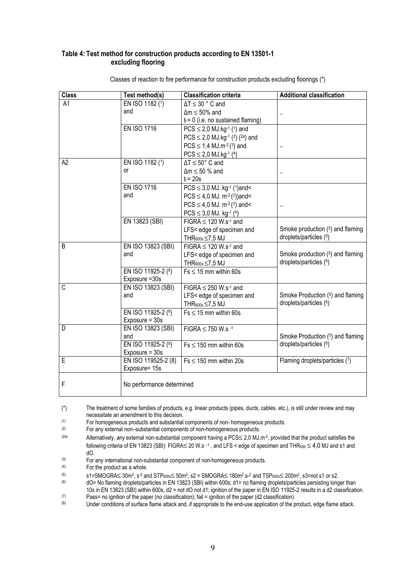#### Table 4: Test method for construction products according to EN 13501-1 excluding flooring

| <b>Class</b> | Test method(s)            | <b>Classification criteria</b>                                           | <b>Additional classification</b> |
|--------------|---------------------------|--------------------------------------------------------------------------|----------------------------------|
| A1           | EN ISO 1182 (1)           | $\Delta T \leq 30$ ° C and                                               |                                  |
|              | and                       | $\Delta m \leq 50\%$ and                                                 |                                  |
|              |                           | $t_f = 0$ (i.e. no sustained flaming)                                    |                                  |
|              | <b>EN ISO 1716</b>        | $PCS \le 2.0$ MJ.kg <sup>-1</sup> ( <sup>1</sup> ) and                   |                                  |
|              |                           | $PCS \le 2.0$ MJ.kg <sup>-1</sup> ( <sup>2</sup> ) ( <sup>2a</sup> ) and |                                  |
|              |                           | $PCS \le 1,4 MJ.m^{-2}(3)$ and                                           |                                  |
|              |                           | $PCS \leq 2,0$ MJ.kg-1 (4)                                               |                                  |
| A2           | EN ISO 1182 (1)           | $\Delta T \le 50^{\circ}$ C and                                          |                                  |
|              | or                        | $\Delta m \leq 50$ % and                                                 |                                  |
|              |                           | $t_f$ = 20s                                                              |                                  |
|              | <b>EN ISO 1716</b>        | $PCS \leq 3.0$ MJ. kg <sup>-1</sup> ( <sup>1</sup> )and<                 |                                  |
|              | and                       | $PCS \leq 4.0$ MJ. m <sup>-2</sup> (2))and<                              |                                  |
|              |                           | $PCS \leq 4.0$ MJ. m <sup>-2</sup> ( <sup>3</sup> ) and<                 |                                  |
|              |                           | $PCS \leq 3.0$ MJ. kg <sup>-1</sup> ( <sup>4</sup> )                     |                                  |
|              | EN 13823 (SBI)            | FIGRA $\leq$ 120 W.s <sup>-1</sup> and                                   |                                  |
|              |                           | LFS< edge of specimen and                                                | Smoke production (5) and flaming |
|              |                           | THR <sub>600s</sub> ≤7,5 MJ                                              | droplets/particles (6)           |
| B            | EN ISO 13823 (SBI)        | FIGRA $\leq$ 120 W.s <sup>-1</sup> and                                   |                                  |
|              | and                       | LFS< edge of specimen and                                                | Smoke production (5) and flaming |
|              |                           | THR $_{600s}$ $\leq$ 7,5 MJ                                              | droplets/particles (6)           |
|              | EN ISO 11925-2 (8)        | $Fs \leq 15$ mm within 60s                                               |                                  |
|              | Exposure = 30s            |                                                                          |                                  |
| C            | EN ISO 13823 (SBI)        | FIGRA $\leq$ 250 W.s <sup>-1</sup> and                                   |                                  |
|              | and                       | LFS< edge of specimen and                                                | Smoke Production (5) and flaming |
|              |                           | THR <sub>600s</sub> ≤7,5 MJ                                              | droplets/particles (6)           |
|              | EN ISO 11925-2 (8)        | $Fs \leq 15$ mm within 60s                                               |                                  |
|              | Exposure $=$ 30s          |                                                                          |                                  |
| D            | EN ISO 13823 (SBI)        | FIGRA $\leq$ 750 W.s <sup>-1</sup>                                       |                                  |
|              | and                       |                                                                          | Smoke Production (5) and flaming |
|              | EN ISO 11925-2 (8)        | $Fs \leq 150$ mm within 60s                                              | droplets/particles (6)           |
|              | Exposure $=$ 30s          |                                                                          |                                  |
| E            | EN ISO 119525-2 (8)       | $Fs \leq 150$ mm within 20s                                              | Flaming droplets/particles (7)   |
|              | Exposure= 15s             |                                                                          |                                  |
| F            | No performance determined |                                                                          |                                  |

Classes of reaction to fire performance for construction products excluding floorings (\*)

 $(1)$  For homogeneous products and substantial components of non- homogeneous products.<br> $(2)$  For any external non-substantial components of non-homogeneous products

For any external non–substantial components of non-homogeneous products.

- (3) For any international non-substantial component of non-homogeneous products.
- (4) For the product as a whole.

<sup>(\*)</sup> The treatment of some families of products, e.g. linear products (pipes, ducts, cables. etc.), is still under review and may necessitate an amendment to this decision.

 $(2a)$  Alternatively, any external non-substantial component having a PCS  $\leq$  2,0 MJ.m<sup>-2</sup>, provided that the product satisfies the following criteria of EN 13823 (SBI): FIGRA≤ 20 W.s –1 , and LFS < edge of specimen and THR<sup>600</sup> ≤ 4,0 MJ and s1 and dO.

 $(5)$  s1=SMOGRA≤ 30m<sup>2</sup>, s<sup>-2</sup> and STP<sub>600s</sub>≤ 50m<sup>2</sup>; s2 = SMOGRA≤ 180m<sup>2</sup>.s-<sup>2</sup> and TSP<sub>600s</sub>≤ 200m<sup>2</sup>, s3=not s1 or s2.

 $(6)$  dO= No flaming droplets/particles in EN 13823 (SBI) within 600s; d1= no flaming droplets/particles persisting longer than 10s in EN 13823 (SBI) within 600s, d2 = not dO not d1; ignition of the paper in EN ISO 11925-2 results in a d2 classification.

 $(7)$  Pass= no ignition of the paper (no classification); fail = ignition of the paper (d2 classification).

Under conditions of surface flame attack and, if appropriate to the end-use application of the product, edge flame attack.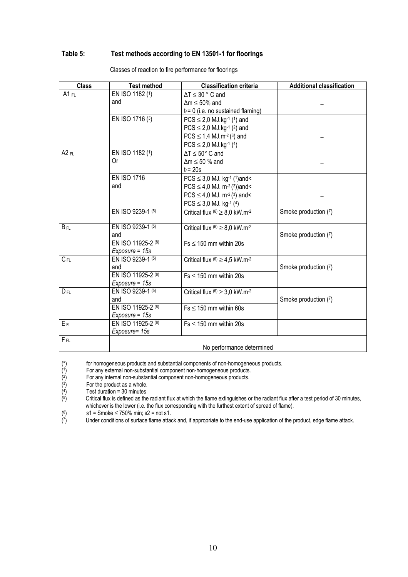### Table 5: Test methods according to EN 13501-1 for floorings

| <b>Class</b> | <b>Test method</b>        | <b>Classification criteria</b>                           | <b>Additional classification</b> |  |
|--------------|---------------------------|----------------------------------------------------------|----------------------------------|--|
| A1 $FL$      | EN ISO 1182 (1)           | $\Delta T \leq 30$ ° C and                               |                                  |  |
|              | and                       | $\Delta m \leq 50\%$ and                                 |                                  |  |
|              |                           | $t_f = 0$ (i.e. no sustained flaming)                    |                                  |  |
|              | EN ISO 1716 (3)           | $PCS \le 2.0$ MJ.kg <sup>-1</sup> ( <sup>1</sup> ) and   |                                  |  |
|              |                           | $PCS \le 2.0$ MJ.kg-1 (2) and                            |                                  |  |
|              |                           | $PCS \le 1.4$ MJ.m <sup>-2</sup> (3) and                 |                                  |  |
|              |                           | $PCS \le 2,0 MJ.kg^{-1}$ (4)                             |                                  |  |
| $A2$ FL      | EN ISO 1182 (1)           | $\Delta T \le 50^{\circ}$ C and                          |                                  |  |
|              | 0r                        | $\Delta m \leq 50$ % and                                 |                                  |  |
|              |                           | $t_f$ = 20s                                              |                                  |  |
|              | <b>EN ISO 1716</b>        | $PCS \leq 3.0$ MJ. kg <sup>-1</sup> ( <sup>1</sup> )and< |                                  |  |
|              | and                       | $PCS \leq 4.0$ MJ. m <sup>-2</sup> (2))and<              |                                  |  |
|              |                           | $PCS \le 4.0$ MJ. m <sup>-2</sup> ( <sup>3</sup> ) and<  |                                  |  |
|              |                           | $PCS \leq 3,0$ MJ. kg <sup>-1</sup> ( <sup>4</sup> )     |                                  |  |
|              | EN ISO 9239-1 (5)         | Critical flux $^{(6)} \geq 8.0$ kW.m <sup>-2</sup>       | Smoke production (7)             |  |
| $B_{FL}$     | EN ISO 9239-1 (5)         | Critical flux $^{(6)} \geq 8.0$ kW.m <sup>-2</sup>       |                                  |  |
|              | and                       |                                                          | Smoke production (7)             |  |
|              | EN ISO 11925-2 (8)        | $Fs \leq 150$ mm within 20s                              |                                  |  |
|              | $Exposure = 15s$          |                                                          |                                  |  |
| $C_{FL}$     | EN ISO 9239-1 (5)         | Critical flux $(6) \ge 4.5$ kW.m <sup>-2</sup>           |                                  |  |
|              | and                       |                                                          | Smoke production (7)             |  |
|              | EN ISO 11925-2 (8)        | $Fs \leq 150$ mm within 20s                              |                                  |  |
|              | $Exposure = 15s$          |                                                          |                                  |  |
| $D_{FL}$     | EN ISO 9239-1 (5)         | Critical flux $^{(6)} \geq 3.0$ kW.m <sup>-2</sup>       |                                  |  |
|              | and                       |                                                          | Smoke production (7)             |  |
|              | EN ISO 11925-2 (8)        | $Fs \leq 150$ mm within 60s                              |                                  |  |
|              | $Exposure = 15s$          |                                                          |                                  |  |
| EFL          | EN ISO 11925-2 (8)        | $Fs \leq 150$ mm within 20s                              |                                  |  |
|              | Exposure= 15s             |                                                          |                                  |  |
| $F_{FL}$     | No performance determined |                                                          |                                  |  |

Classes of reaction to fire performance for floorings

for homogeneous products and substantial components of non-homogeneous products.

( 1 ) For any external non-substantial component non-homogeneous products.

( 2 ) For any internal non-substantial component non-homogeneous products.

( 3 ) For the product as a whole.

( 4 ) Test duration = 30 minutes

( 5 ) Critical flux is defined as the radiant flux at which the flame extinguishes or the radiant flux after a test period of 30 minutes, whichever is the lower (i.e. the flux corresponding with the furthest extent of spread of flame).

( 6  $s1 =$  Smoke  $\leq 750\%$  min; s2 = not s1.

( 7 ) Under conditions of surface flame attack and, if appropriate to the end-use application of the product, edge flame attack.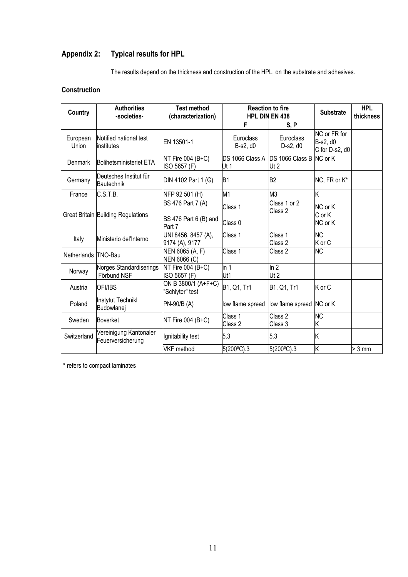## Appendix 2: Typical results for HPL

The results depend on the thickness and construction of the HPL, on the substrate and adhesives.

## **Construction**

| <b>Country</b>      | <b>Authorities</b><br>-societies-           | <b>Test method</b><br>(characterization)             | <b>Reaction to fire</b><br><b>HPL DIN EN 438</b> |                                 | <b>Substrate</b>                           | <b>HPL</b><br>thickness |
|---------------------|---------------------------------------------|------------------------------------------------------|--------------------------------------------------|---------------------------------|--------------------------------------------|-------------------------|
|                     |                                             |                                                      | F                                                | S, P                            |                                            |                         |
| European<br>Union   | Notified national test<br>institutes        | EN 13501-1                                           | Euroclass<br>B-s2, d0                            | Euroclass<br>D-s2, d0           | NC or FR for<br>B-s2, d0<br>C for D-s2, d0 |                         |
| Denmark             | Bolihetsministeriet ETA                     | NT Fire 004 $(B+C)$<br>ISO 5657 (F)                  | DS 1066 Class A<br>Ut 1                          | DS 1066 Class B NC or K<br>Ut 2 |                                            |                         |
| Germany             | Deutsches Institut für<br>Bautechnik        | DIN 4102 Part 1 (G)                                  | <b>B1</b>                                        | B <sub>2</sub>                  | NC, FR or K*                               |                         |
| France              | C.S.T.B.                                    | NFP 92 501 (H)                                       | M1                                               | M <sub>3</sub>                  | Κ                                          |                         |
|                     | Great Britain Building Regulations          | BS 476 Part 7 (A)<br>BS 476 Part 6 (B) and<br>Part 7 | Class 1<br>Class 0                               | Class 1 or 2<br>Class 2         | NC or K<br>C or K<br>NC or K               |                         |
| Italy               | Ministerio del'Interno                      | UNI 8456, 8457 (A),<br>9174 (A), 9177                | Class 1                                          | Class 1<br>Class 2              | <b>NC</b><br>K or C                        |                         |
| Netherlands TNO-Bau |                                             | NEN 6065 (A, F)<br>NEN 6066 (C)                      | Class 1                                          | Class 2                         | <b>NC</b>                                  |                         |
| Norway              | Norges Standardiserings<br>Förbund NSF      | NT Fire 004 $(B+C)$<br>ISO 5657 (F)                  | in 1<br>Ut1                                      | ln 2<br>Ut <sub>2</sub>         |                                            |                         |
| Austria             | <b>OFI/IBS</b>                              | ON B 3800/1 (A+F+C)<br>"Schlyter" test               | B1, Q1, Tr1                                      | B1, Q1, Tr1                     | K or C                                     |                         |
| Poland              | <b>Instytut Technikl</b><br>Budowlanei      | PN-90/B (A)                                          | low flame spread                                 | low flame spread NC or K        |                                            |                         |
| Sweden              | <b>Boverket</b>                             | NT Fire 004 $(B+C)$                                  | Class 1<br>Class 2                               | Class 2<br>Class 3              | <b>NC</b><br>Κ                             |                         |
| Switzerland         | Vereinigung Kantonaler<br>Feuerversicherung | Ignitability test                                    | 5.3                                              | 5.3                             | Κ                                          |                         |
|                     |                                             | <b>VKF</b> method                                    | 5(200°C).3                                       | 5(200°C).3                      | Κ                                          | $> 3$ mm                |

\* refers to compact laminates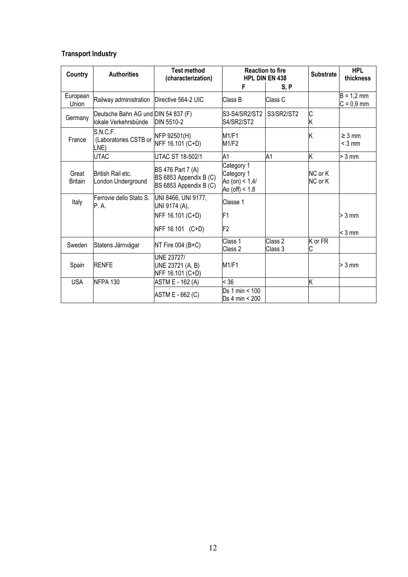## Transport Industry

| Country                 | <b>Authorities</b>                                           | <b>Test method</b><br>(characterization)                              | <b>Reaction to fire</b><br><b>HPL DIN EN 438</b>                 |                    | <b>Substrate</b>   | <b>HPL</b><br>thickness      |
|-------------------------|--------------------------------------------------------------|-----------------------------------------------------------------------|------------------------------------------------------------------|--------------------|--------------------|------------------------------|
|                         |                                                              |                                                                       | F                                                                | S, P               |                    |                              |
| European<br>Union       | Railway administration   Directive 564-2 UIC                 |                                                                       | Class B                                                          | Class C            |                    | $B = 1,2$ mm<br>$C = 0.9$ mm |
| Germany                 | Deutsche Bahn AG und DIN 54 837 (F)<br>llokale Verkehrsbünde | DIN 5510-2                                                            | S3-S4/SR2/ST2<br>S4/SR2/ST2                                      | S3/SR2/ST2         | C<br>Κ             |                              |
| France                  | S.N.C.F.<br>(Laboratories CSTB or<br>LNE)                    | NFP 92501(H)<br>NFF 16.101 (C+D)                                      | M1/F1<br>M1/F2                                                   |                    | Κ                  | $\geq 3$ mm<br>$<$ 3 mm      |
|                         | <b>UTAC</b>                                                  | <b>UTAC ST 18-502/1</b>                                               | A1                                                               | A1                 | Κ                  | $> 3$ mm                     |
| Great<br><b>Britain</b> | British Rail etc.<br>London Underground                      | BS 476 Part 7 (A)<br>BS 6853 Appendix B (C)<br>BS 6853 Appendix B (C) | Category 1<br>Category 1<br>Ao (on) < $1,4/$<br>Ao (off) $< 1,8$ |                    | NC or K<br>NC or K |                              |
| Italy                   | Ferrovie dello Stato S.<br>P. A.                             | UNI 8466, UNI 9177,<br>UNI 9174 (A),                                  | Classe 1                                                         |                    |                    |                              |
|                         |                                                              | NFF 16.101 (C+D)                                                      | F1                                                               |                    |                    | $> 3$ mm                     |
|                         |                                                              | NFF 16.101 (C+D)                                                      | F <sub>2</sub>                                                   |                    |                    | $<$ 3 mm                     |
| Sweden                  | Statens Järnvägar                                            | NT Fire $004$ (B+C)                                                   | Class 1<br>Class 2                                               | Class 2<br>Class 3 | K or FR<br>C       |                              |
| Spain                   | <b>RENFE</b>                                                 | <b>UNE 23727/</b><br>UNE 23721 (A, B)<br>NFF 16.101 (C+D)             | M1/F1                                                            |                    |                    | $> 3$ mm                     |
| <b>USA</b>              | NFPA 130                                                     | ASTM E - 162 (A)                                                      | < 36                                                             |                    | k                  |                              |
|                         |                                                              | ASTM E - 662 (C)                                                      | Ds 1 min < 100<br>Ds 4 min < 200                                 |                    |                    |                              |